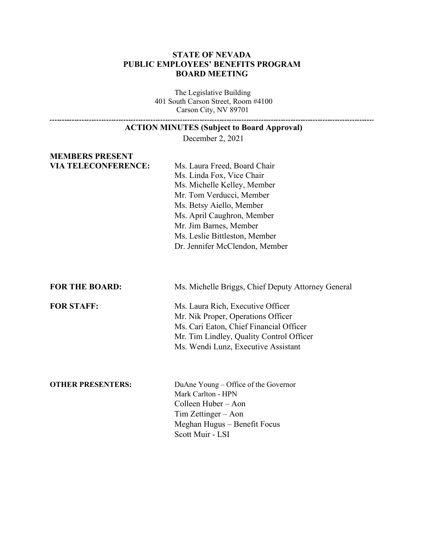## **STATE OF NEVADA PUBLIC EMPLOYEES' BENEFITS PROGRAM BOARD MEETING**

The Legislative Building 401 South Carson Street, Room #4100 Carson City, NV 89701

#### **ACTION MINUTES (Subject to Board Approval)**

December 2, 2021

# **MEMBERS PRESENT**

**VIA TELECONFERENCE:** Ms. Laura Freed, Board Chair Ms. Linda Fox, Vice Chair Ms. Michelle Kelley, Member Mr. Tom Verducci, Member Ms. Betsy Aiello, Member Ms. April Caughron, Member Mr. Jim Barnes, Member Ms. Leslie Bittleston, Member Dr. Jennifer McClendon, Member

**FOR THE BOARD:** Ms. Michelle Briggs, Chief Deputy Attorney General

**FOR STAFF:** Ms. Laura Rich, Executive Officer Mr. Nik Proper, Operations Officer Ms. Cari Eaton, Chief Financial Officer Mr. Tim Lindley, Quality Control Officer Ms. Wendi Lunz, Executive Assistant

**OTHER PRESENTERS:** DuAne Young – Office of the Governor Mark Carlton - HPN Colleen Huber – Aon Tim Zettinger – Aon Meghan Hugus – Benefit Focus Scott Muir - LSI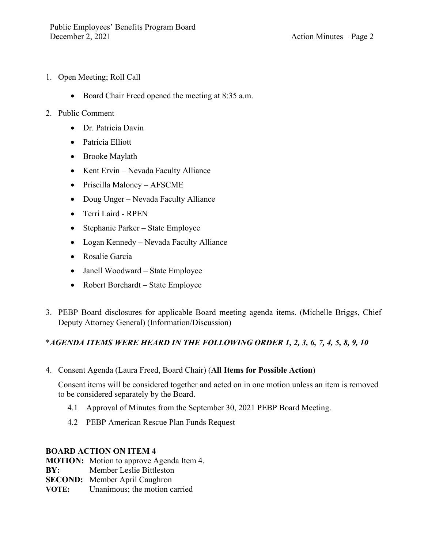- 1. Open Meeting; Roll Call
	- Board Chair Freed opened the meeting at 8:35 a.m.
- 2. Public Comment
	- Dr. Patricia Davin
	- Patricia Elliott
	- Brooke Maylath
	- Kent Ervin Nevada Faculty Alliance
	- Priscilla Maloney AFSCME
	- Doug Unger Nevada Faculty Alliance
	- Terri Laird RPEN
	- Stephanie Parker State Employee
	- Logan Kennedy Nevada Faculty Alliance
	- Rosalie Garcia
	- Janell Woodward State Employee
	- Robert Borchardt State Employee
- 3. PEBP Board disclosures for applicable Board meeting agenda items. (Michelle Briggs, Chief Deputy Attorney General) (Information/Discussion)

# \**AGENDA ITEMS WERE HEARD IN THE FOLLOWING ORDER 1, 2, 3, 6, 7, 4, 5, 8, 9, 10*

4. Consent Agenda (Laura Freed, Board Chair) (**All Items for Possible Action**)

Consent items will be considered together and acted on in one motion unless an item is removed to be considered separately by the Board.

- 4.1 Approval of Minutes from the September 30, 2021 PEBP Board Meeting.
- 4.2 PEBP American Rescue Plan Funds Request

# **BOARD ACTION ON ITEM 4**

**MOTION:** Motion to approve Agenda Item 4.

**BY:** Member Leslie Bittleston

**SECOND:** Member April Caughron

**VOTE:** Unanimous; the motion carried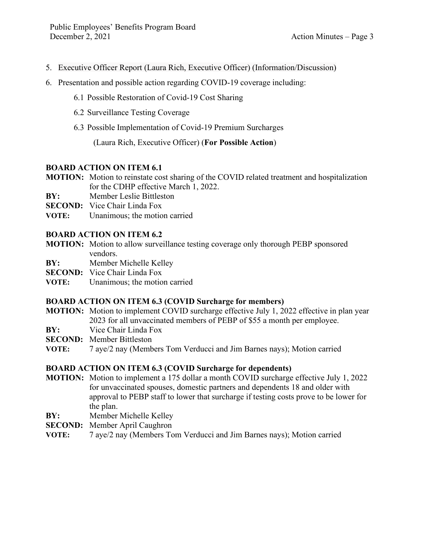- 5. Executive Officer Report (Laura Rich, Executive Officer) (Information/Discussion)
- 6. Presentation and possible action regarding COVID-19 coverage including:
	- 6.1 Possible Restoration of Covid-19 Cost Sharing
	- 6.2 Surveillance Testing Coverage
	- 6.3 Possible Implementation of Covid-19 Premium Surcharges

(Laura Rich, Executive Officer) (**For Possible Action**)

# **BOARD ACTION ON ITEM 6.1**

- **MOTION:** Motion to reinstate cost sharing of the COVID related treatment and hospitalization for the CDHP effective March 1, 2022.
- **BY:** Member Leslie Bittleston
- **SECOND:** Vice Chair Linda Fox
- **VOTE:** Unanimous; the motion carried

# **BOARD ACTION ON ITEM 6.2**

- **MOTION:** Motion to allow surveillance testing coverage only thorough PEBP sponsored vendors.
- **BY:** Member Michelle Kelley
- **SECOND:** Vice Chair Linda Fox
- **VOTE:** Unanimous; the motion carried

# **BOARD ACTION ON ITEM 6.3 (COVID Surcharge for members)**

- **MOTION:** Motion to implement COVID surcharge effective July 1, 2022 effective in plan year 2023 for all unvaccinated members of PEBP of \$55 a month per employee.
- **BY:** Vice Chair Linda Fox
- **SECOND:** Member Bittleston
- **VOTE:** 7 aye/2 nay (Members Tom Verducci and Jim Barnes nays); Motion carried

# **BOARD ACTION ON ITEM 6.3 (COVID Surcharge for dependents)**

- **MOTION:** Motion to implement a 175 dollar a month COVID surcharge effective July 1, 2022 for unvaccinated spouses, domestic partners and dependents 18 and older with approval to PEBP staff to lower that surcharge if testing costs prove to be lower for the plan.
- **BY:** Member Michelle Kelley
- **SECOND:** Member April Caughron
- **VOTE:** 7 aye/2 nay (Members Tom Verducci and Jim Barnes nays); Motion carried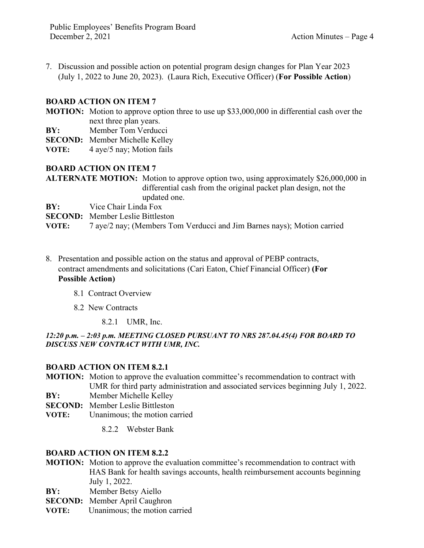7. Discussion and possible action on potential program design changes for Plan Year 2023 (July 1, 2022 to June 20, 2023). (Laura Rich, Executive Officer) (**For Possible Action**)

# **BOARD ACTION ON ITEM 7**

**MOTION:** Motion to approve option three to use up \$33,000,000 in differential cash over the next three plan years.

**BY:** Member Tom Verducci

**SECOND:** Member Michelle Kelley

**VOTE:** 4 aye/5 nay; Motion fails

# **BOARD ACTION ON ITEM 7**

**ALTERNATE MOTION:** Motion to approve option two, using approximately \$26,000,000 in differential cash from the original packet plan design, not the updated one.

**BY:** Vice Chair Linda Fox

**SECOND:** Member Leslie Bittleston

**VOTE:** 7 aye/2 nay; (Members Tom Verducci and Jim Barnes nays); Motion carried

8. Presentation and possible action on the status and approval of PEBP contracts, contract amendments and solicitations (Cari Eaton, Chief Financial Officer) **(For Possible Action)**

### 8.1 Contract Overview

8.2 New Contracts

8.2.1 UMR, Inc.

# *12:20 p.m. – 2:03 p.m. MEETING CLOSED PURSUANT TO NRS 287.04.45(4) FOR BOARD TO DISCUSS NEW CONTRACT WITH UMR, INC.*

### **BOARD ACTION ON ITEM 8.2.1**

**MOTION:** Motion to approve the evaluation committee's recommendation to contract with UMR for third party administration and associated services beginning July 1, 2022.

- **BY:** Member Michelle Kelley
- **SECOND:** Member Leslie Bittleston
- **VOTE:** Unanimous; the motion carried
	- 8.2.2 Webster Bank

### **BOARD ACTION ON ITEM 8.2.2**

- **MOTION:** Motion to approve the evaluation committee's recommendation to contract with HAS Bank for health savings accounts, health reimbursement accounts beginning July 1, 2022.
- **BY:** Member Betsy Aiello
- **SECOND:** Member April Caughron
- **VOTE:** Unanimous; the motion carried